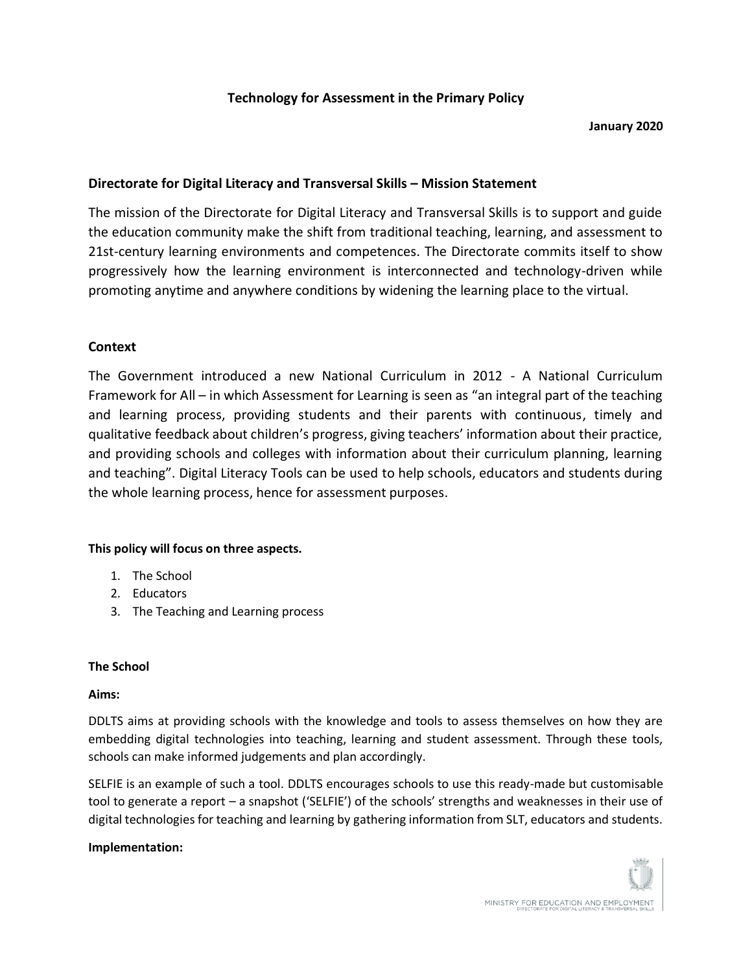# **Technology for Assessment in the Primary Policy**

#### **January 2020**

## **Directorate for Digital Literacy and Transversal Skills – Mission Statement**

The mission of the Directorate for Digital Literacy and Transversal Skills is to support and guide the education community make the shift from traditional teaching, learning, and assessment to 21st-century learning environments and competences. The Directorate commits itself to show progressively how the learning environment is interconnected and technology-driven while promoting anytime and anywhere conditions by widening the learning place to the virtual.

### **Context**

The Government introduced a new National Curriculum in 2012 - A National Curriculum Framework for All – in which Assessment for Learning is seen as "an integral part of the teaching and learning process, providing students and their parents with continuous, timely and qualitative feedback about children's progress, giving teachers' information about their practice, and providing schools and colleges with information about their curriculum planning, learning and teaching". Digital Literacy Tools can be used to help schools, educators and students during the whole learning process, hence for assessment purposes.

### **This policy will focus on three aspects.**

- 1. The School
- 2. Educators
- 3. The Teaching and Learning process

### **The School**

### **Aims:**

DDLTS aims at providing schools with the knowledge and tools to assess themselves on how they are embedding digital technologies into teaching, learning and student assessment. Through these tools, schools can make informed judgements and plan accordingly.

SELFIE is an example of such a tool. DDLTS encourages schools to use this ready-made but customisable tool to generate a report – a snapshot ('SELFIE') of the schools' strengths and weaknesses in their use of digital technologies for teaching and learning by gathering information from SLT, educators and students.

### **Implementation:**

MINISTRY FOR EDUCATION AND EMPLOYMENT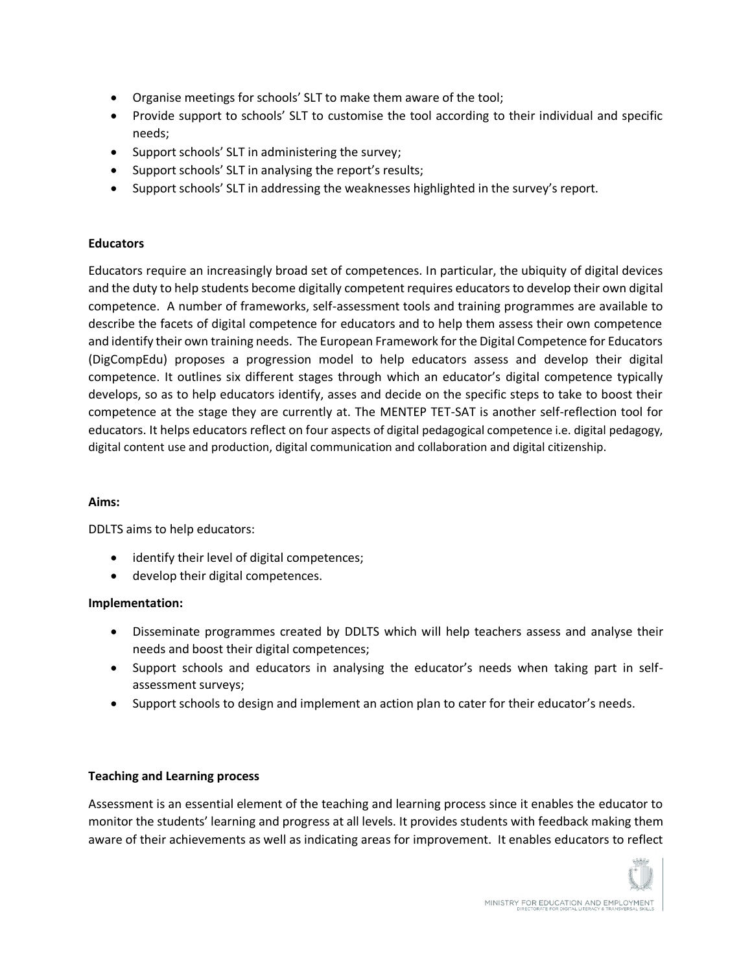- Organise meetings for schools' SLT to make them aware of the tool;
- Provide support to schools' SLT to customise the tool according to their individual and specific needs;
- Support schools' SLT in administering the survey;
- Support schools' SLT in analysing the report's results;
- Support schools' SLT in addressing the weaknesses highlighted in the survey's report.

### **Educators**

Educators require an increasingly broad set of competences. In particular, the ubiquity of digital devices and the duty to help students become digitally competent requires educators to develop their own digital competence. A number of frameworks, self-assessment tools and training programmes are available to describe the facets of digital competence for educators and to help them assess their own competence and identify their own training needs. The European Framework for the Digital Competence for Educators (DigCompEdu) proposes a progression model to help educators assess and develop their digital competence. It outlines six different stages through which an educator's digital competence typically develops, so as to help educators identify, asses and decide on the specific steps to take to boost their competence at the stage they are currently at. The MENTEP TET-SAT is another self-reflection tool for educators. It helps educators reflect on four aspects of digital pedagogical competence i.e. digital pedagogy, digital content use and production, digital communication and collaboration and digital citizenship.

### **Aims:**

DDLTS aims to help educators:

- identify their level of digital competences;
- develop their digital competences.

## **Implementation:**

- Disseminate programmes created by DDLTS which will help teachers assess and analyse their needs and boost their digital competences;
- Support schools and educators in analysing the educator's needs when taking part in selfassessment surveys;
- Support schools to design and implement an action plan to cater for their educator's needs.

## **Teaching and Learning process**

Assessment is an essential element of the teaching and learning process since it enables the educator to monitor the students' learning and progress at all levels. It provides students with feedback making them aware of their achievements as well as indicating areas for improvement. It enables educators to reflect

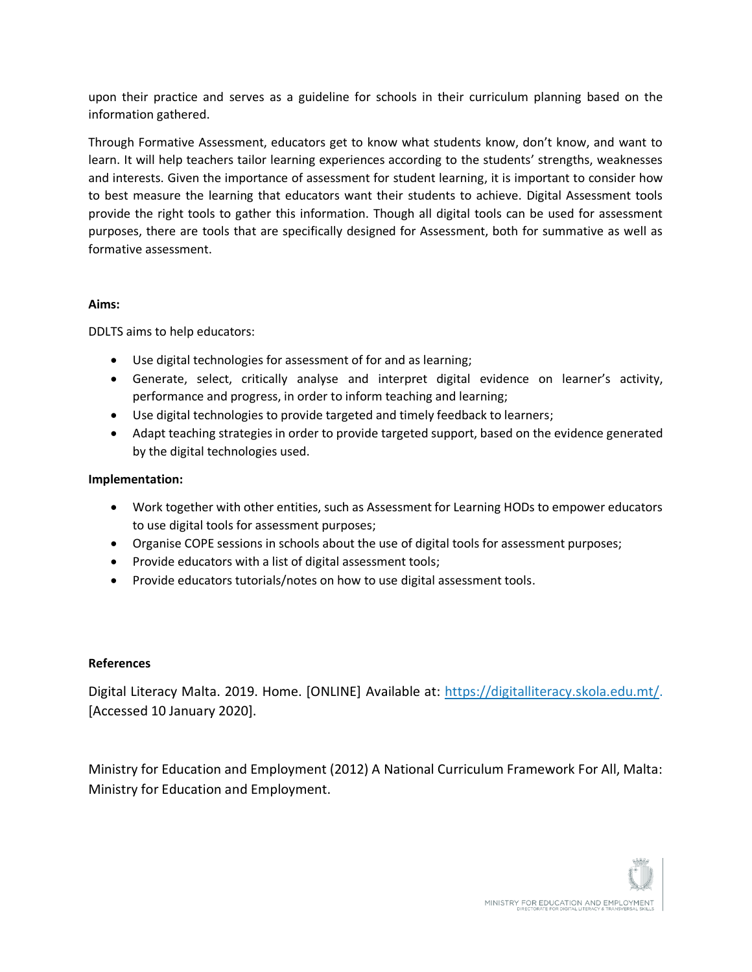upon their practice and serves as a guideline for schools in their curriculum planning based on the information gathered.

Through Formative Assessment, educators get to know what students know, don't know, and want to learn. It will help teachers tailor learning experiences according to the students' strengths, weaknesses and interests. Given the importance of assessment for student learning, it is important to consider how to best measure the learning that educators want their students to achieve. Digital Assessment tools provide the right tools to gather this information. Though all digital tools can be used for assessment purposes, there are tools that are specifically designed for Assessment, both for summative as well as formative assessment.

### **Aims:**

DDLTS aims to help educators:

- Use digital technologies for assessment of for and as learning;
- Generate, select, critically analyse and interpret digital evidence on learner's activity, performance and progress, in order to inform teaching and learning;
- Use digital technologies to provide targeted and timely feedback to learners;
- Adapt teaching strategies in order to provide targeted support, based on the evidence generated by the digital technologies used.

### **Implementation:**

- Work together with other entities, such as Assessment for Learning HODs to empower educators to use digital tools for assessment purposes;
- Organise COPE sessions in schools about the use of digital tools for assessment purposes;
- Provide educators with a list of digital assessment tools;
- Provide educators tutorials/notes on how to use digital assessment tools.

### **References**

Digital Literacy Malta. 2019. Home. [ONLINE] Available at: [https://digitalliteracy.skola.edu.mt/.](https://digitalliteracy.skola.edu.mt/) [Accessed 10 January 2020].

Ministry for Education and Employment (2012) A National Curriculum Framework For All, Malta: Ministry for Education and Employment.